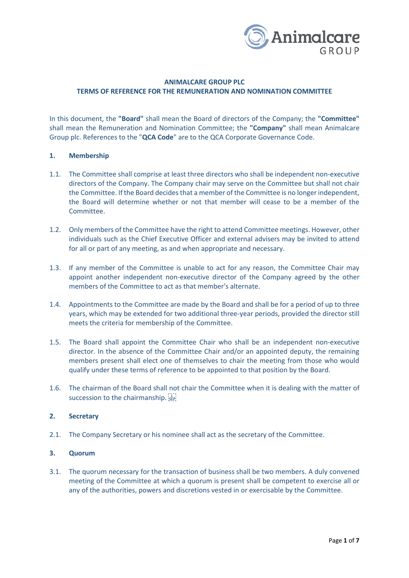

# **ANIMALCARE GROUP PLC TERMS OF REFERENCE FOR THE REMUNERATION AND NOMINATION COMMITTEE**

In this document, the **"Board"** shall mean the Board of directors of the Company; the **"Committee"**  shall mean the Remuneration and Nomination Committee; the **"Company"** shall mean Animalcare Group plc. References to the "**QCA Code**" are to the QCA Corporate Governance Code.

### **1. Membership**

- 1.1. The Committee shall comprise at least three directors who shall be independent non-executive directors of the Company. The Company chair may serve on the Committee but shall not chair the Committee. If the Board decides that a member of the Committee is no longer independent, the Board will determine whether or not that member will cease to be a member of the Committee.
- 1.2. Only members of the Committee have the right to attend Committee meetings. However, other individuals such as the Chief Executive Officer and external advisers may be invited to attend for all or part of any meeting, as and when appropriate and necessary.
- 1.3. If any member of the Committee is unable to act for any reason, the Committee Chair may appoint another independent non-executive director of the Company agreed by the other members of the Committee to act as that member's alternate.
- 1.4. Appointments to the Committee are made by the Board and shall be for a period of up to three years, which may be extended for two additional three-year periods, provided the director still meets the criteria for membership of the Committee.
- 1.5. The Board shall appoint the Committee Chair who shall be an independent non-executive director. In the absence of the Committee Chair and/or an appointed deputy, the remaining members present shall elect one of themselves to chair the meeting from those who would qualify under these terms of reference to be appointed to that position by the Board.
- 1.6. The chairman of the Board shall not chair the Committee when it is dealing with the matter of succession to the chairmanship.

## **2. Secretary**

2.1. The Company Secretary or his nominee shall act as the secretary of the Committee.

### **3. Quorum**

3.1. The quorum necessary for the transaction of business shall be two members. A duly convened meeting of the Committee at which a quorum is present shall be competent to exercise all or any of the authorities, powers and discretions vested in or exercisable by the Committee.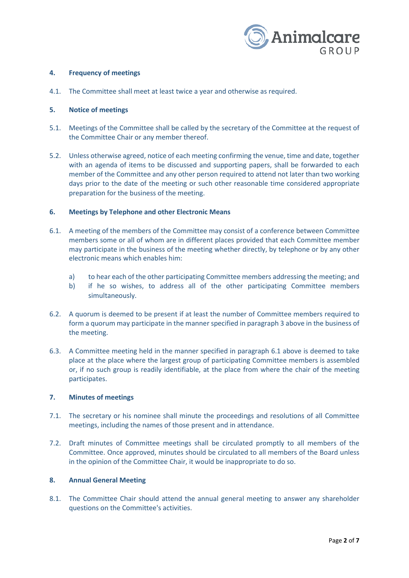

## **4. Frequency of meetings**

4.1. The Committee shall meet at least twice a year and otherwise as required.

### **5. Notice of meetings**

- 5.1. Meetings of the Committee shall be called by the secretary of the Committee at the request of the Committee Chair or any member thereof.
- 5.2. Unless otherwise agreed, notice of each meeting confirming the venue, time and date, together with an agenda of items to be discussed and supporting papers, shall be forwarded to each member of the Committee and any other person required to attend not later than two working days prior to the date of the meeting or such other reasonable time considered appropriate preparation for the business of the meeting.

### **6. Meetings by Telephone and other Electronic Means**

- 6.1. A meeting of the members of the Committee may consist of a conference between Committee members some or all of whom are in different places provided that each Committee member may participate in the business of the meeting whether directly, by telephone or by any other electronic means which enables him:
	- a) to hear each of the other participating Committee members addressing the meeting; and
	- b) if he so wishes, to address all of the other participating Committee members simultaneously.
- 6.2. A quorum is deemed to be present if at least the number of Committee members required to form a quorum may participate in the manner specified in paragraph 3 above in the business of the meeting.
- 6.3. A Committee meeting held in the manner specified in paragraph 6.1 above is deemed to take place at the place where the largest group of participating Committee members is assembled or, if no such group is readily identifiable, at the place from where the chair of the meeting participates.

#### **7. Minutes of meetings**

- 7.1. The secretary or his nominee shall minute the proceedings and resolutions of all Committee meetings, including the names of those present and in attendance.
- 7.2. Draft minutes of Committee meetings shall be circulated promptly to all members of the Committee. Once approved, minutes should be circulated to all members of the Board unless in the opinion of the Committee Chair, it would be inappropriate to do so.

## **8. Annual General Meeting**

8.1. The Committee Chair should attend the annual general meeting to answer any shareholder questions on the Committee's activities.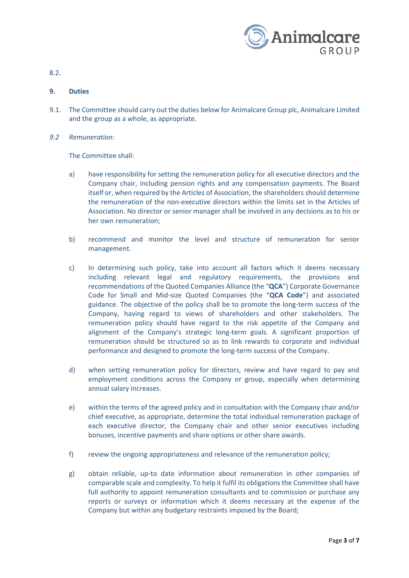

8.2.

# **9. Duties**

- 9.1. The Committee should carry out the duties below for Animalcare Group plc, Animalcare Limited and the group as a whole, as appropriate.
- *9.2 Remuneration:*

The Committee shall:

- a) have responsibility for setting the remuneration policy for all executive directors and the Company chair, including pension rights and any compensation payments. The Board itself or, when required by the Articles of Association, the shareholders should determine the remuneration of the non-executive directors within the limits set in the Articles of Association. No director or senior manager shall be involved in any decisions as to his or her own remuneration;
- b) recommend and monitor the level and structure of remuneration for senior management.
- c) In determining such policy, take into account all factors which it deems necessary including relevant legal and regulatory requirements, the provisions and recommendations of the Quoted Companies Alliance (the "**QCA**") Corporate Governance Code for Small and Mid-size Quoted Companies (the "**QCA Code**") and associated guidance. The objective of the policy shall be to promote the long-term success of the Company, having regard to views of shareholders and other stakeholders. The remuneration policy should have regard to the risk appetite of the Company and alignment of the Company's strategic long-term goals. A significant proportion of remuneration should be structured so as to link rewards to corporate and individual performance and designed to promote the long-term success of the Company.
- d) when setting remuneration policy for directors, review and have regard to pay and employment conditions across the Company or group, especially when determining annual salary increases.
- e) within the terms of the agreed policy and in consultation with the Company chair and/or chief executive, as appropriate, determine the total individual remuneration package of each executive director, the Company chair and other senior executives including bonuses, incentive payments and share options or other share awards.
- f) review the ongoing appropriateness and relevance of the remuneration policy;
- g) obtain reliable, up-to date information about remuneration in other companies of comparable scale and complexity. To help it fulfil its obligations the Committee shall have full authority to appoint remuneration consultants and to commission or purchase any reports or surveys or information which it deems necessary at the expense of the Company but within any budgetary restraints imposed by the Board;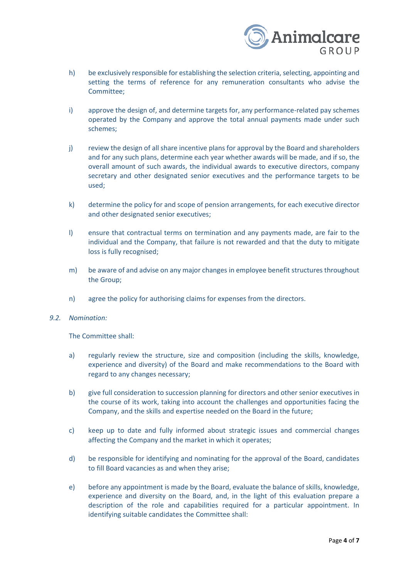

- h) be exclusively responsible for establishing the selection criteria, selecting, appointing and setting the terms of reference for any remuneration consultants who advise the Committee;
- i) approve the design of, and determine targets for, any performance-related pay schemes operated by the Company and approve the total annual payments made under such schemes;
- j) review the design of all share incentive plans for approval by the Board and shareholders and for any such plans, determine each year whether awards will be made, and if so, the overall amount of such awards, the individual awards to executive directors, company secretary and other designated senior executives and the performance targets to be used;
- k) determine the policy for and scope of pension arrangements, for each executive director and other designated senior executives;
- l) ensure that contractual terms on termination and any payments made, are fair to the individual and the Company, that failure is not rewarded and that the duty to mitigate loss is fully recognised;
- m) be aware of and advise on any major changes in employee benefit structures throughout the Group;
- n) agree the policy for authorising claims for expenses from the directors.
- *9.2. Nomination:*

The Committee shall:

- a) regularly review the structure, size and composition (including the skills, knowledge, experience and diversity) of the Board and make recommendations to the Board with regard to any changes necessary;
- b) give full consideration to succession planning for directors and other senior executives in the course of its work, taking into account the challenges and opportunities facing the Company, and the skills and expertise needed on the Board in the future;
- c) keep up to date and fully informed about strategic issues and commercial changes affecting the Company and the market in which it operates;
- d) be responsible for identifying and nominating for the approval of the Board, candidates to fill Board vacancies as and when they arise;
- e) before any appointment is made by the Board, evaluate the balance of skills, knowledge, experience and diversity on the Board, and, in the light of this evaluation prepare a description of the role and capabilities required for a particular appointment. In identifying suitable candidates the Committee shall: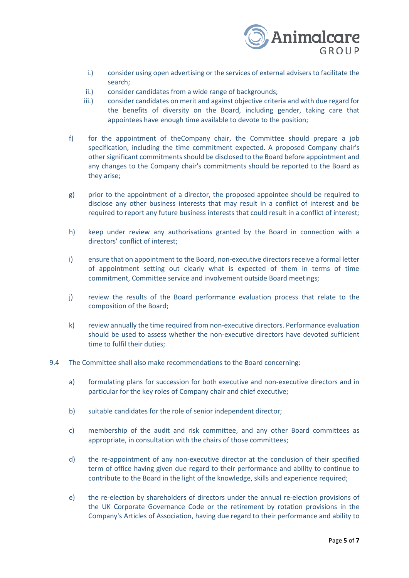

- i.) consider using open advertising or the services of external advisers to facilitate the search;
- ii.) consider candidates from a wide range of backgrounds;
- iii.) consider candidates on merit and against objective criteria and with due regard for the benefits of diversity on the Board, including gender, taking care that appointees have enough time available to devote to the position;
- f) for the appointment of theCompany chair, the Committee should prepare a job specification, including the time commitment expected. A proposed Company chair's other significant commitments should be disclosed to the Board before appointment and any changes to the Company chair's commitments should be reported to the Board as they arise;
- g) prior to the appointment of a director, the proposed appointee should be required to disclose any other business interests that may result in a conflict of interest and be required to report any future business interests that could result in a conflict of interest;
- h) keep under review any authorisations granted by the Board in connection with a directors' conflict of interest;
- i) ensure that on appointment to the Board, non-executive directors receive a formal letter of appointment setting out clearly what is expected of them in terms of time commitment, Committee service and involvement outside Board meetings;
- j) review the results of the Board performance evaluation process that relate to the composition of the Board;
- k) review annually the time required from non-executive directors. Performance evaluation should be used to assess whether the non-executive directors have devoted sufficient time to fulfil their duties;
- 9.4 The Committee shall also make recommendations to the Board concerning:
	- a) formulating plans for succession for both executive and non-executive directors and in particular for the key roles of Company chair and chief executive;
	- b) suitable candidates for the role of senior independent director;
	- c) membership of the audit and risk committee, and any other Board committees as appropriate, in consultation with the chairs of those committees;
	- d) the re-appointment of any non-executive director at the conclusion of their specified term of office having given due regard to their performance and ability to continue to contribute to the Board in the light of the knowledge, skills and experience required;
	- e) the re-election by shareholders of directors under the annual re-election provisions of the UK Corporate Governance Code or the retirement by rotation provisions in the Company's Articles of Association, having due regard to their performance and ability to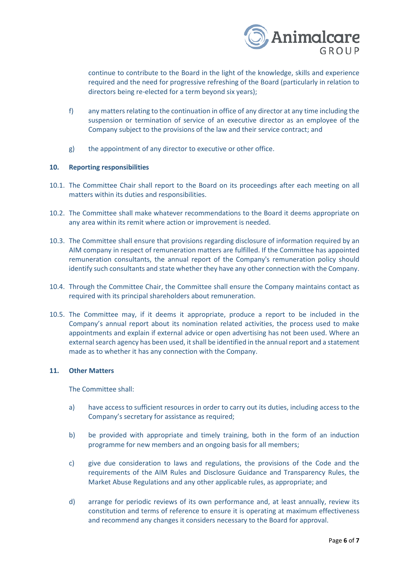

continue to contribute to the Board in the light of the knowledge, skills and experience required and the need for progressive refreshing of the Board (particularly in relation to directors being re-elected for a term beyond six years);

- f) any matters relating to the continuation in office of any director at any time including the suspension or termination of service of an executive director as an employee of the Company subject to the provisions of the law and their service contract; and
- g) the appointment of any director to executive or other office.

#### **10. Reporting responsibilities**

- 10.1. The Committee Chair shall report to the Board on its proceedings after each meeting on all matters within its duties and responsibilities.
- 10.2. The Committee shall make whatever recommendations to the Board it deems appropriate on any area within its remit where action or improvement is needed.
- 10.3. The Committee shall ensure that provisions regarding disclosure of information required by an AIM company in respect of remuneration matters are fulfilled. If the Committee has appointed remuneration consultants, the annual report of the Company's remuneration policy should identify such consultants and state whether they have any other connection with the Company.
- 10.4. Through the Committee Chair, the Committee shall ensure the Company maintains contact as required with its principal shareholders about remuneration.
- 10.5. The Committee may, if it deems it appropriate, produce a report to be included in the Company's annual report about its nomination related activities, the process used to make appointments and explain if external advice or open advertising has not been used. Where an external search agency has been used, it shall be identified in the annual report and a statement made as to whether it has any connection with the Company.

#### **11. Other Matters**

The Committee shall:

- a) have access to sufficient resources in order to carry out its duties, including access to the Company's secretary for assistance as required;
- b) be provided with appropriate and timely training, both in the form of an induction programme for new members and an ongoing basis for all members;
- c) give due consideration to laws and regulations, the provisions of the Code and the requirements of the AIM Rules and Disclosure Guidance and Transparency Rules, the Market Abuse Regulations and any other applicable rules, as appropriate; and
- d) arrange for periodic reviews of its own performance and, at least annually, review its constitution and terms of reference to ensure it is operating at maximum effectiveness and recommend any changes it considers necessary to the Board for approval.